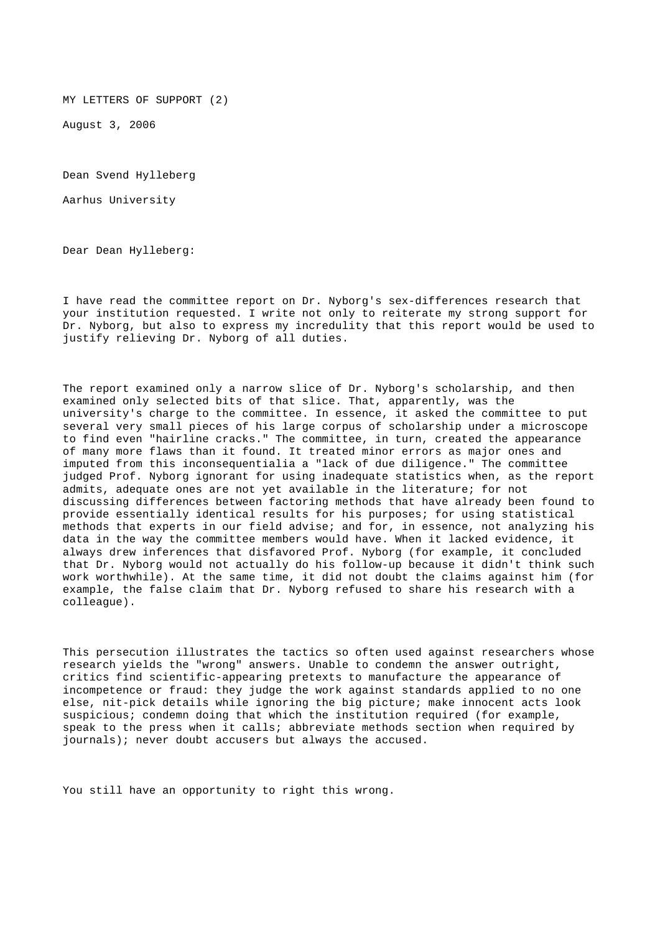MY LETTERS OF SUPPORT (2)

August 3, 2006

Dean Svend Hylleberg

Aarhus University

Dear Dean Hylleberg:

I have read the committee report on Dr. Nyborg's sex-differences research that your institution requested. I write not only to reiterate my strong support for Dr. Nyborg, but also to express my incredulity that this report would be used to justify relieving Dr. Nyborg of all duties.

The report examined only a narrow slice of Dr. Nyborg's scholarship, and then examined only selected bits of that slice. That, apparently, was the university's charge to the committee. In essence, it asked the committee to put several very small pieces of his large corpus of scholarship under a microscope to find even "hairline cracks." The committee, in turn, created the appearance of many more flaws than it found. It treated minor errors as major ones and imputed from this inconsequentialia a "lack of due diligence." The committee judged Prof. Nyborg ignorant for using inadequate statistics when, as the report admits, adequate ones are not yet available in the literature; for not discussing differences between factoring methods that have already been found to provide essentially identical results for his purposes; for using statistical methods that experts in our field advise; and for, in essence, not analyzing his data in the way the committee members would have. When it lacked evidence, it always drew inferences that disfavored Prof. Nyborg (for example, it concluded that Dr. Nyborg would not actually do his follow-up because it didn't think such work worthwhile). At the same time, it did not doubt the claims against him (for example, the false claim that Dr. Nyborg refused to share his research with a colleague).

This persecution illustrates the tactics so often used against researchers whose research yields the "wrong" answers. Unable to condemn the answer outright, critics find scientific-appearing pretexts to manufacture the appearance of incompetence or fraud: they judge the work against standards applied to no one else, nit-pick details while ignoring the big picture; make innocent acts look suspicious; condemn doing that which the institution required (for example, speak to the press when it calls; abbreviate methods section when required by journals); never doubt accusers but always the accused.

You still have an opportunity to right this wrong.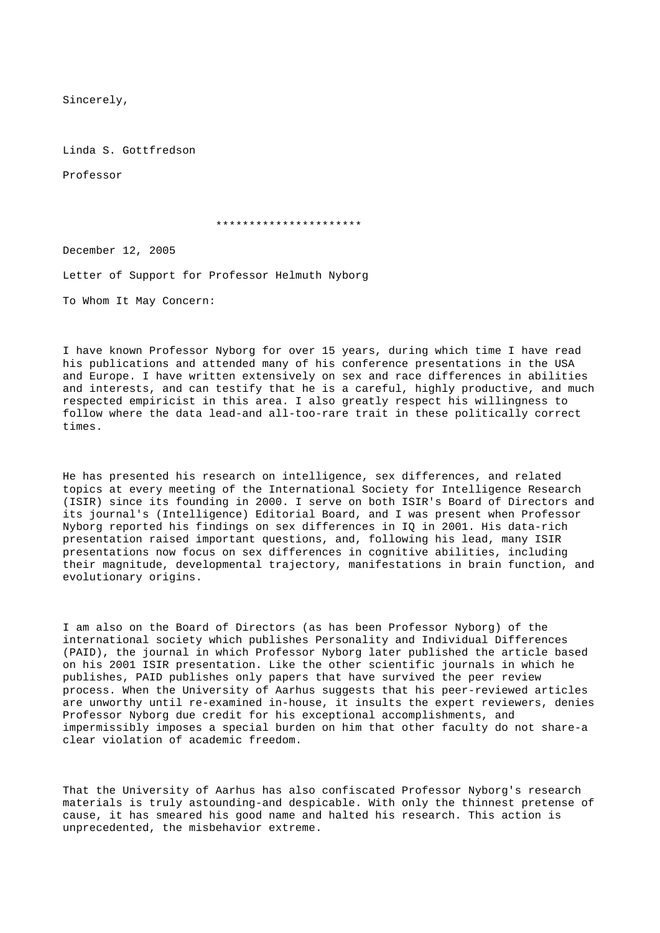Sincerely,

Linda S. Gottfredson

Professor

## \*\*\*\*\*\*\*\*\*\*\*\*\*\*\*\*\*\*\*\*\*\*

December 12, 2005

Letter of Support for Professor Helmuth Nyborg

To Whom It May Concern:

I have known Professor Nyborg for over 15 years, during which time I have read his publications and attended many of his conference presentations in the USA and Europe. I have written extensively on sex and race differences in abilities and interests, and can testify that he is a careful, highly productive, and much respected empiricist in this area. I also greatly respect his willingness to follow where the data lead-and all-too-rare trait in these politically correct times.

He has presented his research on intelligence, sex differences, and related topics at every meeting of the International Society for Intelligence Research (ISIR) since its founding in 2000. I serve on both ISIR's Board of Directors and its journal's (Intelligence) Editorial Board, and I was present when Professor Nyborg reported his findings on sex differences in IQ in 2001. His data-rich presentation raised important questions, and, following his lead, many ISIR presentations now focus on sex differences in cognitive abilities, including their magnitude, developmental trajectory, manifestations in brain function, and evolutionary origins.

I am also on the Board of Directors (as has been Professor Nyborg) of the international society which publishes Personality and Individual Differences (PAID), the journal in which Professor Nyborg later published the article based on his 2001 ISIR presentation. Like the other scientific journals in which he publishes, PAID publishes only papers that have survived the peer review process. When the University of Aarhus suggests that his peer-reviewed articles are unworthy until re-examined in-house, it insults the expert reviewers, denies Professor Nyborg due credit for his exceptional accomplishments, and impermissibly imposes a special burden on him that other faculty do not share-a clear violation of academic freedom.

That the University of Aarhus has also confiscated Professor Nyborg's research materials is truly astounding-and despicable. With only the thinnest pretense of cause, it has smeared his good name and halted his research. This action is unprecedented, the misbehavior extreme.